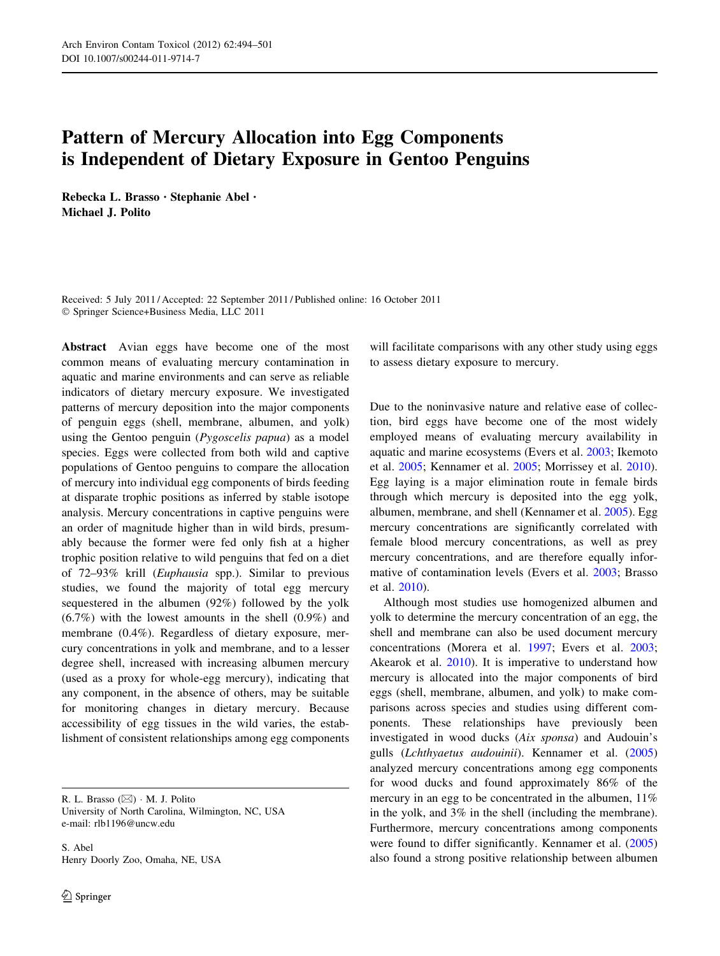# Pattern of Mercury Allocation into Egg Components is Independent of Dietary Exposure in Gentoo Penguins

Rebecka L. Brasso • Stephanie Abel • Michael J. Polito

Received: 5 July 2011 / Accepted: 22 September 2011 / Published online: 16 October 2011 - Springer Science+Business Media, LLC 2011

Abstract Avian eggs have become one of the most common means of evaluating mercury contamination in aquatic and marine environments and can serve as reliable indicators of dietary mercury exposure. We investigated patterns of mercury deposition into the major components of penguin eggs (shell, membrane, albumen, and yolk) using the Gentoo penguin (Pygoscelis papua) as a model species. Eggs were collected from both wild and captive populations of Gentoo penguins to compare the allocation of mercury into individual egg components of birds feeding at disparate trophic positions as inferred by stable isotope analysis. Mercury concentrations in captive penguins were an order of magnitude higher than in wild birds, presumably because the former were fed only fish at a higher trophic position relative to wild penguins that fed on a diet of 72–93% krill (Euphausia spp.). Similar to previous studies, we found the majority of total egg mercury sequestered in the albumen (92%) followed by the yolk (6.7%) with the lowest amounts in the shell (0.9%) and membrane (0.4%). Regardless of dietary exposure, mercury concentrations in yolk and membrane, and to a lesser degree shell, increased with increasing albumen mercury (used as a proxy for whole-egg mercury), indicating that any component, in the absence of others, may be suitable for monitoring changes in dietary mercury. Because accessibility of egg tissues in the wild varies, the establishment of consistent relationships among egg components

R. L. Brasso ( $\boxtimes$ ) · M. J. Polito University of North Carolina, Wilmington, NC, USA e-mail: rlb1196@uncw.edu

S. Abel Henry Doorly Zoo, Omaha, NE, USA

will facilitate comparisons with any other study using eggs to assess dietary exposure to mercury.

Due to the noninvasive nature and relative ease of collection, bird eggs have become one of the most widely employed means of evaluating mercury availability in aquatic and marine ecosystems (Evers et al. [2003](#page-7-0); Ikemoto et al. [2005;](#page-7-0) Kennamer et al. [2005;](#page-7-0) Morrissey et al. [2010](#page-7-0)). Egg laying is a major elimination route in female birds through which mercury is deposited into the egg yolk, albumen, membrane, and shell (Kennamer et al. [2005\)](#page-7-0). Egg mercury concentrations are significantly correlated with female blood mercury concentrations, as well as prey mercury concentrations, and are therefore equally informative of contamination levels (Evers et al. [2003;](#page-7-0) Brasso et al. [2010\)](#page-7-0).

Although most studies use homogenized albumen and yolk to determine the mercury concentration of an egg, the shell and membrane can also be used document mercury concentrations (Morera et al. [1997;](#page-7-0) Evers et al. [2003](#page-7-0); Akearok et al. [2010\)](#page-6-0). It is imperative to understand how mercury is allocated into the major components of bird eggs (shell, membrane, albumen, and yolk) to make comparisons across species and studies using different components. These relationships have previously been investigated in wood ducks (Aix sponsa) and Audouin's gulls (Lchthyaetus audouinii). Kennamer et al. ([2005\)](#page-7-0) analyzed mercury concentrations among egg components for wood ducks and found approximately 86% of the mercury in an egg to be concentrated in the albumen,  $11\%$ in the yolk, and 3% in the shell (including the membrane). Furthermore, mercury concentrations among components were found to differ significantly. Kennamer et al.  $(2005)$  $(2005)$ also found a strong positive relationship between albumen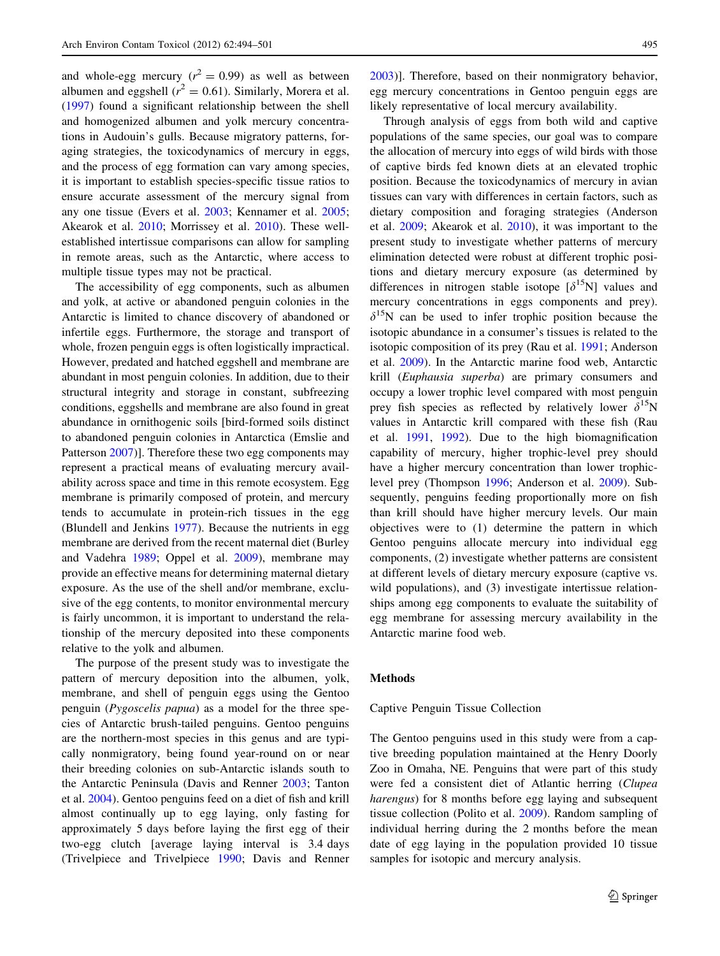and whole-egg mercury ( $r^2 = 0.99$ ) as well as between albumen and eggshell ( $r^2 = 0.61$ ). Similarly, Morera et al. [\(1997](#page-7-0)) found a significant relationship between the shell and homogenized albumen and yolk mercury concentrations in Audouin's gulls. Because migratory patterns, foraging strategies, the toxicodynamics of mercury in eggs, and the process of egg formation can vary among species, it is important to establish species-specific tissue ratios to ensure accurate assessment of the mercury signal from any one tissue (Evers et al. [2003](#page-7-0); Kennamer et al. [2005](#page-7-0); Akearok et al. [2010](#page-6-0); Morrissey et al. [2010\)](#page-7-0). These wellestablished intertissue comparisons can allow for sampling in remote areas, such as the Antarctic, where access to multiple tissue types may not be practical.

The accessibility of egg components, such as albumen and yolk, at active or abandoned penguin colonies in the Antarctic is limited to chance discovery of abandoned or infertile eggs. Furthermore, the storage and transport of whole, frozen penguin eggs is often logistically impractical. However, predated and hatched eggshell and membrane are abundant in most penguin colonies. In addition, due to their structural integrity and storage in constant, subfreezing conditions, eggshells and membrane are also found in great abundance in ornithogenic soils [bird-formed soils distinct to abandoned penguin colonies in Antarctica (Emslie and Patterson [2007\)](#page-7-0)]. Therefore these two egg components may represent a practical means of evaluating mercury availability across space and time in this remote ecosystem. Egg membrane is primarily composed of protein, and mercury tends to accumulate in protein-rich tissues in the egg (Blundell and Jenkins [1977](#page-6-0)). Because the nutrients in egg membrane are derived from the recent maternal diet (Burley and Vadehra [1989](#page-7-0); Oppel et al. [2009\)](#page-7-0), membrane may provide an effective means for determining maternal dietary exposure. As the use of the shell and/or membrane, exclusive of the egg contents, to monitor environmental mercury is fairly uncommon, it is important to understand the relationship of the mercury deposited into these components relative to the yolk and albumen.

The purpose of the present study was to investigate the pattern of mercury deposition into the albumen, yolk, membrane, and shell of penguin eggs using the Gentoo penguin (Pygoscelis papua) as a model for the three species of Antarctic brush-tailed penguins. Gentoo penguins are the northern-most species in this genus and are typically nonmigratory, being found year-round on or near their breeding colonies on sub-Antarctic islands south to the Antarctic Peninsula (Davis and Renner [2003;](#page-7-0) Tanton et al. [2004\)](#page-7-0). Gentoo penguins feed on a diet of fish and krill almost continually up to egg laying, only fasting for approximately 5 days before laying the first egg of their two-egg clutch [average laying interval is 3.4 days (Trivelpiece and Trivelpiece [1990;](#page-7-0) Davis and Renner

[2003](#page-7-0))]. Therefore, based on their nonmigratory behavior, egg mercury concentrations in Gentoo penguin eggs are likely representative of local mercury availability.

Through analysis of eggs from both wild and captive populations of the same species, our goal was to compare the allocation of mercury into eggs of wild birds with those of captive birds fed known diets at an elevated trophic position. Because the toxicodynamics of mercury in avian tissues can vary with differences in certain factors, such as dietary composition and foraging strategies (Anderson et al. [2009;](#page-6-0) Akearok et al. [2010\)](#page-6-0), it was important to the present study to investigate whether patterns of mercury elimination detected were robust at different trophic positions and dietary mercury exposure (as determined by differences in nitrogen stable isotope  $[\delta^{15}N]$  values and mercury concentrations in eggs components and prey).  $\delta^{15}$ N can be used to infer trophic position because the isotopic abundance in a consumer's tissues is related to the isotopic composition of its prey (Rau et al. [1991](#page-7-0); Anderson et al. [2009\)](#page-6-0). In the Antarctic marine food web, Antarctic krill (Euphausia superba) are primary consumers and occupy a lower trophic level compared with most penguin prey fish species as reflected by relatively lower  $\delta^{15}N$ values in Antarctic krill compared with these fish (Rau et al. [1991,](#page-7-0) [1992\)](#page-7-0). Due to the high biomagnification capability of mercury, higher trophic-level prey should have a higher mercury concentration than lower trophiclevel prey (Thompson [1996](#page-7-0); Anderson et al. [2009\)](#page-6-0). Subsequently, penguins feeding proportionally more on fish than krill should have higher mercury levels. Our main objectives were to (1) determine the pattern in which Gentoo penguins allocate mercury into individual egg components, (2) investigate whether patterns are consistent at different levels of dietary mercury exposure (captive vs. wild populations), and (3) investigate intertissue relationships among egg components to evaluate the suitability of egg membrane for assessing mercury availability in the Antarctic marine food web.

# Methods

#### Captive Penguin Tissue Collection

The Gentoo penguins used in this study were from a captive breeding population maintained at the Henry Doorly Zoo in Omaha, NE. Penguins that were part of this study were fed a consistent diet of Atlantic herring (Clupea harengus) for 8 months before egg laying and subsequent tissue collection (Polito et al. [2009](#page-7-0)). Random sampling of individual herring during the 2 months before the mean date of egg laying in the population provided 10 tissue samples for isotopic and mercury analysis.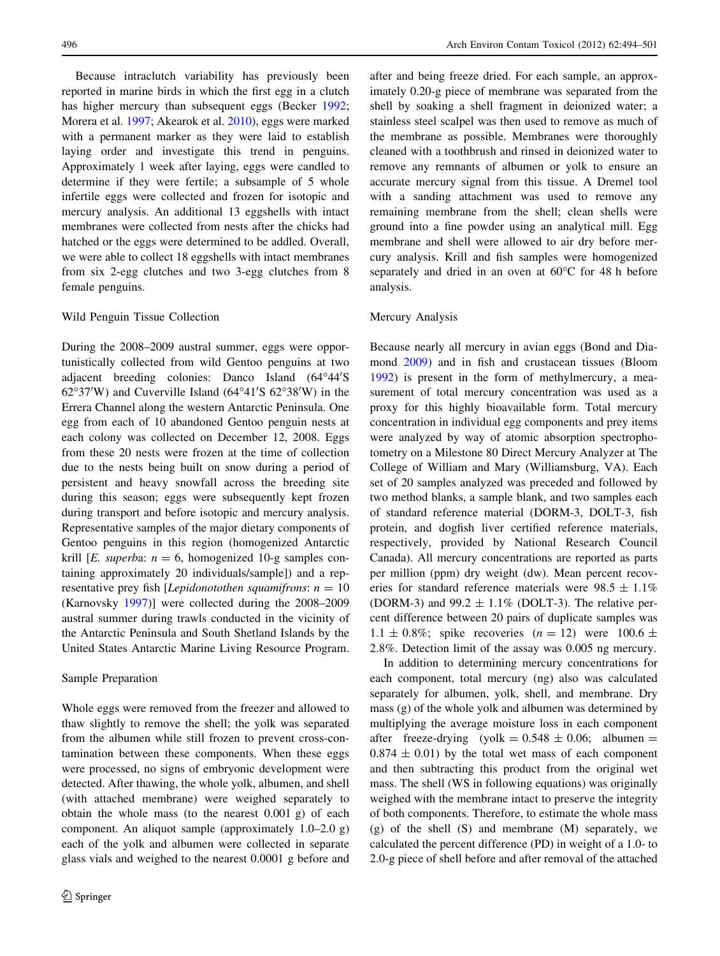Because intraclutch variability has previously been reported in marine birds in which the first egg in a clutch has higher mercury than subsequent eggs (Becker [1992](#page-6-0); Morera et al. [1997;](#page-7-0) Akearok et al. [2010](#page-6-0)), eggs were marked with a permanent marker as they were laid to establish laying order and investigate this trend in penguins. Approximately 1 week after laying, eggs were candled to determine if they were fertile; a subsample of 5 whole infertile eggs were collected and frozen for isotopic and mercury analysis. An additional 13 eggshells with intact membranes were collected from nests after the chicks had hatched or the eggs were determined to be addled. Overall, we were able to collect 18 eggshells with intact membranes from six 2-egg clutches and two 3-egg clutches from 8 female penguins.

## Wild Penguin Tissue Collection

During the 2008–2009 austral summer, eggs were opportunistically collected from wild Gentoo penguins at two adjacent breeding colonies: Danco Island (64°44'S  $62^{\circ}37'$ W) and Cuverville Island  $(64^{\circ}41'S\ 62^{\circ}38'W)$  in the Errera Channel along the western Antarctic Peninsula. One egg from each of 10 abandoned Gentoo penguin nests at each colony was collected on December 12, 2008. Eggs from these 20 nests were frozen at the time of collection due to the nests being built on snow during a period of persistent and heavy snowfall across the breeding site during this season; eggs were subsequently kept frozen during transport and before isotopic and mercury analysis. Representative samples of the major dietary components of Gentoo penguins in this region (homogenized Antarctic krill [E. superba:  $n = 6$ , homogenized 10-g samples containing approximately 20 individuals/sample]) and a representative prey fish [*Lepidonotothen squamifrons*:  $n = 10$ (Karnovsky [1997](#page-7-0))] were collected during the 2008–2009 austral summer during trawls conducted in the vicinity of the Antarctic Peninsula and South Shetland Islands by the United States Antarctic Marine Living Resource Program.

## Sample Preparation

Whole eggs were removed from the freezer and allowed to thaw slightly to remove the shell; the yolk was separated from the albumen while still frozen to prevent cross-contamination between these components. When these eggs were processed, no signs of embryonic development were detected. After thawing, the whole yolk, albumen, and shell (with attached membrane) were weighed separately to obtain the whole mass (to the nearest 0.001 g) of each component. An aliquot sample (approximately 1.0–2.0 g) each of the yolk and albumen were collected in separate glass vials and weighed to the nearest 0.0001 g before and after and being freeze dried. For each sample, an approximately 0.20-g piece of membrane was separated from the shell by soaking a shell fragment in deionized water; a stainless steel scalpel was then used to remove as much of the membrane as possible. Membranes were thoroughly cleaned with a toothbrush and rinsed in deionized water to remove any remnants of albumen or yolk to ensure an accurate mercury signal from this tissue. A Dremel tool with a sanding attachment was used to remove any remaining membrane from the shell; clean shells were ground into a fine powder using an analytical mill. Egg membrane and shell were allowed to air dry before mercury analysis. Krill and fish samples were homogenized separately and dried in an oven at  $60^{\circ}$ C for 48 h before analysis.

## Mercury Analysis

Because nearly all mercury in avian eggs (Bond and Diamond [2009](#page-6-0)) and in fish and crustacean tissues (Bloom [1992](#page-6-0)) is present in the form of methylmercury, a measurement of total mercury concentration was used as a proxy for this highly bioavailable form. Total mercury concentration in individual egg components and prey items were analyzed by way of atomic absorption spectrophotometry on a Milestone 80 Direct Mercury Analyzer at The College of William and Mary (Williamsburg, VA). Each set of 20 samples analyzed was preceded and followed by two method blanks, a sample blank, and two samples each of standard reference material (DORM-3, DOLT-3, fish protein, and dogfish liver certified reference materials, respectively, provided by National Research Council Canada). All mercury concentrations are reported as parts per million (ppm) dry weight (dw). Mean percent recoveries for standard reference materials were  $98.5 \pm 1.1\%$ (DORM-3) and 99.2  $\pm$  1.1% (DOLT-3). The relative percent difference between 20 pairs of duplicate samples was  $1.1 \pm 0.8\%$ ; spike recoveries  $(n = 12)$  were  $100.6 \pm 100.6$ 2.8%. Detection limit of the assay was 0.005 ng mercury.

In addition to determining mercury concentrations for each component, total mercury (ng) also was calculated separately for albumen, yolk, shell, and membrane. Dry mass (g) of the whole yolk and albumen was determined by multiplying the average moisture loss in each component after freeze-drying (yolk =  $0.548 \pm 0.06$ ; albumen =  $0.874 \pm 0.01$ ) by the total wet mass of each component and then subtracting this product from the original wet mass. The shell (WS in following equations) was originally weighed with the membrane intact to preserve the integrity of both components. Therefore, to estimate the whole mass (g) of the shell (S) and membrane (M) separately, we calculated the percent difference (PD) in weight of a 1.0- to 2.0-g piece of shell before and after removal of the attached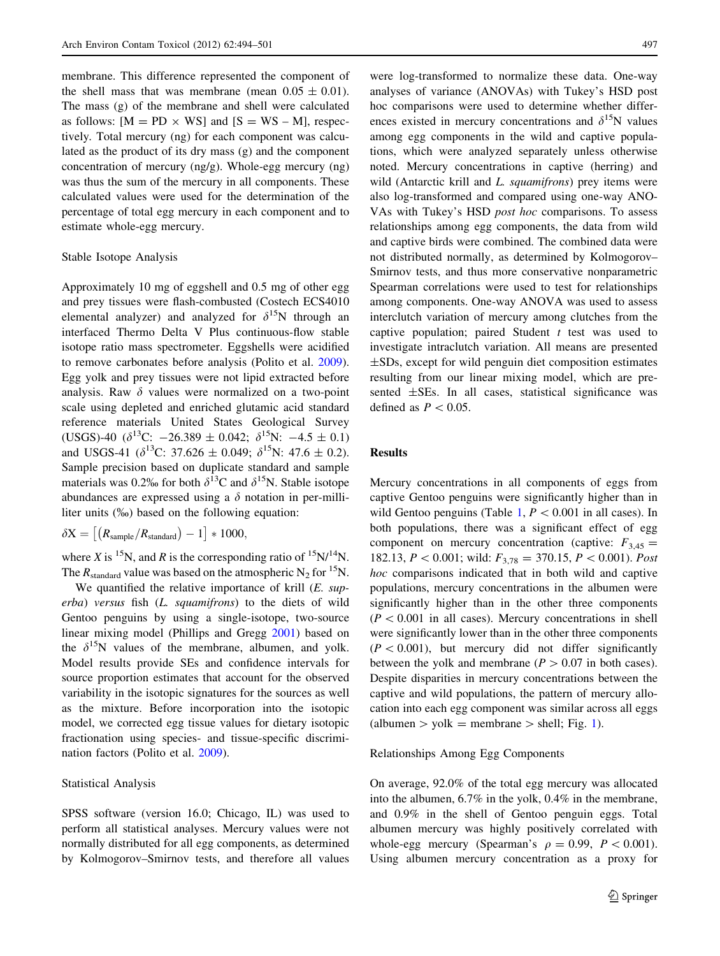membrane. This difference represented the component of the shell mass that was membrane (mean  $0.05 \pm 0.01$ ). The mass (g) of the membrane and shell were calculated as follows:  $[M = PD \times WS]$  and  $[S = WS - M]$ , respectively. Total mercury (ng) for each component was calculated as the product of its dry mass (g) and the component concentration of mercury (ng/g). Whole-egg mercury (ng) was thus the sum of the mercury in all components. These calculated values were used for the determination of the percentage of total egg mercury in each component and to estimate whole-egg mercury.

#### Stable Isotope Analysis

Approximately 10 mg of eggshell and 0.5 mg of other egg and prey tissues were flash-combusted (Costech ECS4010 elemental analyzer) and analyzed for  $\delta^{15}N$  through an interfaced Thermo Delta V Plus continuous-flow stable isotope ratio mass spectrometer. Eggshells were acidified to remove carbonates before analysis (Polito et al. [2009](#page-7-0)). Egg yolk and prey tissues were not lipid extracted before analysis. Raw  $\delta$  values were normalized on a two-point scale using depleted and enriched glutamic acid standard reference materials United States Geological Survey (USGS)-40  $(\delta^{13}C: -26.389 \pm 0.042; \delta^{15}N: -4.5 \pm 0.1)$ and USGS-41 ( $\delta^{13}$ C: 37.626  $\pm$  0.049;  $\delta^{15}$ N: 47.6  $\pm$  0.2). Sample precision based on duplicate standard and sample materials was 0.2% for both  $\delta^{13}$ C and  $\delta^{15}$ N. Stable isotope abundances are expressed using a  $\delta$  notation in per-milliliter units (%0) based on the following equation:

 $\delta X = \left[ \left( R_{\text{sample}} / R_{\text{standard}} \right) - 1 \right] * 1000,$ 

where X is <sup>15</sup>N, and R is the corresponding ratio of <sup>15</sup>N/<sup>14</sup>N. The  $R_{standard}$  value was based on the atmospheric N<sub>2</sub> for <sup>15</sup>N.

We quantified the relative importance of krill  $(E. \, sup$ erba) versus fish (L. squamifrons) to the diets of wild Gentoo penguins by using a single-isotope, two-source linear mixing model (Phillips and Gregg [2001\)](#page-7-0) based on the  $\delta^{15}N$  values of the membrane, albumen, and yolk. Model results provide SEs and confidence intervals for source proportion estimates that account for the observed variability in the isotopic signatures for the sources as well as the mixture. Before incorporation into the isotopic model, we corrected egg tissue values for dietary isotopic fractionation using species- and tissue-specific discrimination factors (Polito et al. [2009](#page-7-0)).

# Statistical Analysis

SPSS software (version 16.0; Chicago, IL) was used to perform all statistical analyses. Mercury values were not normally distributed for all egg components, as determined by Kolmogorov–Smirnov tests, and therefore all values

were log-transformed to normalize these data. One-way analyses of variance (ANOVAs) with Tukey's HSD post hoc comparisons were used to determine whether differences existed in mercury concentrations and  $\delta^{15}N$  values among egg components in the wild and captive populations, which were analyzed separately unless otherwise noted. Mercury concentrations in captive (herring) and wild (Antarctic krill and L. *squamifrons*) prey items were also log-transformed and compared using one-way ANO-VAs with Tukey's HSD post hoc comparisons. To assess relationships among egg components, the data from wild and captive birds were combined. The combined data were not distributed normally, as determined by Kolmogorov– Smirnov tests, and thus more conservative nonparametric Spearman correlations were used to test for relationships among components. One-way ANOVA was used to assess interclutch variation of mercury among clutches from the captive population; paired Student  $t$  test was used to investigate intraclutch variation. All means are presented ±SDs, except for wild penguin diet composition estimates resulting from our linear mixing model, which are presented ±SEs. In all cases, statistical significance was defined as  $P < 0.05$ .

# Results

Mercury concentrations in all components of eggs from captive Gentoo penguins were significantly higher than in wild Gentoo penguins (Table [1,](#page-4-0)  $P < 0.001$  in all cases). In both populations, there was a significant effect of egg component on mercury concentration (captive:  $F_{3,45}$  = 182.13,  $P \lt 0.001$ ; wild:  $F_{3,78} = 370.15$ ,  $P \lt 0.001$ ). Post hoc comparisons indicated that in both wild and captive populations, mercury concentrations in the albumen were significantly higher than in the other three components  $(P < 0.001$  in all cases). Mercury concentrations in shell were significantly lower than in the other three components  $(P<0.001)$ , but mercury did not differ significantly between the yolk and membrane ( $P > 0.07$  in both cases). Despite disparities in mercury concentrations between the captive and wild populations, the pattern of mercury allocation into each egg component was similar across all eggs (albumen  $>$  yolk = membrane  $>$  shell; Fig. [1](#page-4-0)).

Relationships Among Egg Components

On average, 92.0% of the total egg mercury was allocated into the albumen, 6.7% in the yolk, 0.4% in the membrane, and 0.9% in the shell of Gentoo penguin eggs. Total albumen mercury was highly positively correlated with whole-egg mercury (Spearman's  $\rho = 0.99$ ,  $P < 0.001$ ). Using albumen mercury concentration as a proxy for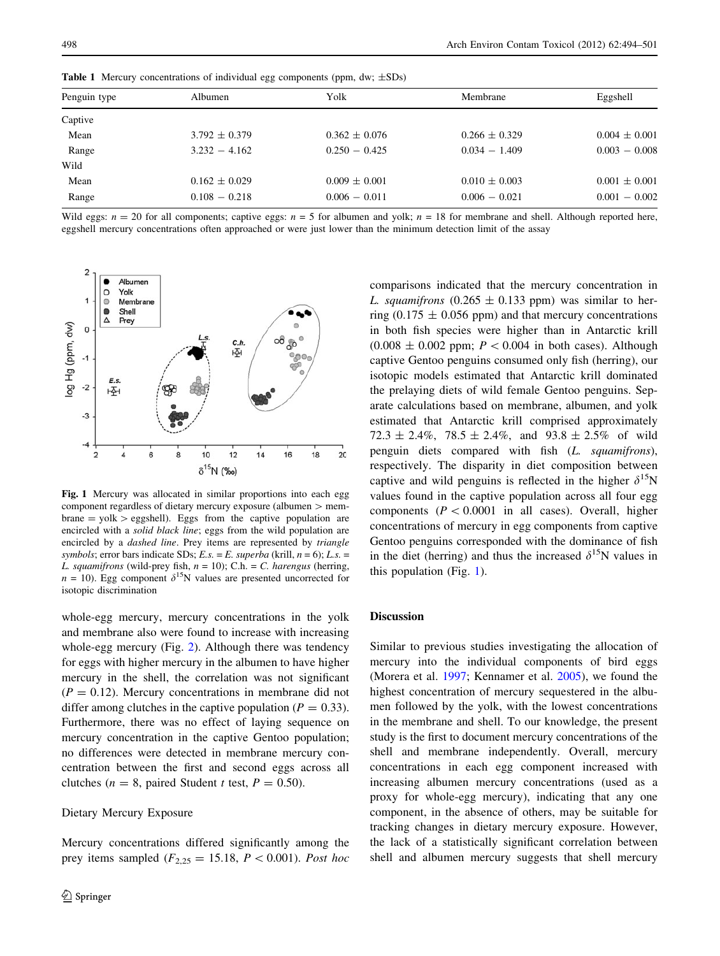2

| <b>Table 1</b> INCREASE CONCERTIBILITY OF INCENTIAL CASE COMPONED COPIN, $\mathbf{u}_N$ , $\pm \mathbf{v}_N$ |                   |                   |                   |                   |
|--------------------------------------------------------------------------------------------------------------|-------------------|-------------------|-------------------|-------------------|
| Penguin type                                                                                                 | Albumen           | Yolk              | Membrane          | Eggshell          |
| Captive                                                                                                      |                   |                   |                   |                   |
| Mean                                                                                                         | $3.792 \pm 0.379$ | $0.362 \pm 0.076$ | $0.266 \pm 0.329$ | $0.004 \pm 0.001$ |
| Range                                                                                                        | $3.232 - 4.162$   | $0.250 - 0.425$   | $0.034 - 1.409$   | $0.003 - 0.008$   |
| Wild                                                                                                         |                   |                   |                   |                   |
| Mean                                                                                                         | $0.162 \pm 0.029$ | $0.009 \pm 0.001$ | $0.010 \pm 0.003$ | $0.001 \pm 0.001$ |
| Range                                                                                                        | $0.108 - 0.218$   | $0.006 - 0.011$   | $0.006 - 0.021$   | $0.001 - 0.002$   |

<span id="page-4-0"></span>Table 1. Mercury concentrations of individual egg components (ppm, dw;  $+SDs$ )

Wild eggs:  $n = 20$  for all components; captive eggs:  $n = 5$  for albumen and yolk;  $n = 18$  for membrane and shell. Although reported here, eggshell mercury concentrations often approached or were just lower than the minimum detection limit of the assay

Albumen C Yolk  $\circ$ Membrane  $\bullet$ Shell Δ Prey og Hg (ppm, dw)  $\overline{0}$ <sup>08</sup> ரீ  $\circ$  $c.h$ 啞  $-1$  $E.S$  $-2$ H -3  $-4$  $10$  $12$  $14$ 16 18  $20$  $\overline{2}$ 4 6 8  $\delta^{15}N$  (‰)

Fig. 1 Mercury was allocated in similar proportions into each egg component regardless of dietary mercury exposure (albumen  $>$  mem $brane = yolk > eggshell$ ). Eggs from the captive population are encircled with a solid black line; eggs from the wild population are encircled by a dashed line. Prey items are represented by triangle symbols; error bars indicate SDs;  $E.s. = E.$  superba (krill,  $n = 6$ );  $L.s. =$ L. squamifrons (wild-prey fish,  $n = 10$ ); C.h. = C. harengus (herring,  $n = 10$ ). Egg component  $\delta^{15}N$  values are presented uncorrected for isotopic discrimination

whole-egg mercury, mercury concentrations in the yolk and membrane also were found to increase with increasing whole-egg mercury (Fig. [2\)](#page-5-0). Although there was tendency for eggs with higher mercury in the albumen to have higher mercury in the shell, the correlation was not significant  $(P = 0.12)$ . Mercury concentrations in membrane did not differ among clutches in the captive population ( $P = 0.33$ ). Furthermore, there was no effect of laying sequence on mercury concentration in the captive Gentoo population; no differences were detected in membrane mercury concentration between the first and second eggs across all clutches ( $n = 8$ , paired Student t test,  $P = 0.50$ ).

## Dietary Mercury Exposure

Mercury concentrations differed significantly among the prey items sampled ( $F_{2,25} = 15.18$ ,  $P \lt 0.001$ ). Post hoc

comparisons indicated that the mercury concentration in L. squamifrons  $(0.265 \pm 0.133$  ppm) was similar to herring (0.175  $\pm$  0.056 ppm) and that mercury concentrations in both fish species were higher than in Antarctic krill  $(0.008 \pm 0.002$  ppm;  $P \lt 0.004$  in both cases). Although captive Gentoo penguins consumed only fish (herring), our isotopic models estimated that Antarctic krill dominated the prelaying diets of wild female Gentoo penguins. Separate calculations based on membrane, albumen, and yolk estimated that Antarctic krill comprised approximately  $72.3 \pm 2.4\%$ ,  $78.5 \pm 2.4\%$ , and  $93.8 \pm 2.5\%$  of wild penguin diets compared with fish (L. squamifrons), respectively. The disparity in diet composition between captive and wild penguins is reflected in the higher  $\delta^{15}N$ values found in the captive population across all four egg components ( $P \lt 0.0001$  in all cases). Overall, higher concentrations of mercury in egg components from captive Gentoo penguins corresponded with the dominance of fish in the diet (herring) and thus the increased  $\delta^{15}N$  values in this population (Fig. 1).

# Discussion

Similar to previous studies investigating the allocation of mercury into the individual components of bird eggs (Morera et al. [1997](#page-7-0); Kennamer et al. [2005](#page-7-0)), we found the highest concentration of mercury sequestered in the albumen followed by the yolk, with the lowest concentrations in the membrane and shell. To our knowledge, the present study is the first to document mercury concentrations of the shell and membrane independently. Overall, mercury concentrations in each egg component increased with increasing albumen mercury concentrations (used as a proxy for whole-egg mercury), indicating that any one component, in the absence of others, may be suitable for tracking changes in dietary mercury exposure. However, the lack of a statistically significant correlation between shell and albumen mercury suggests that shell mercury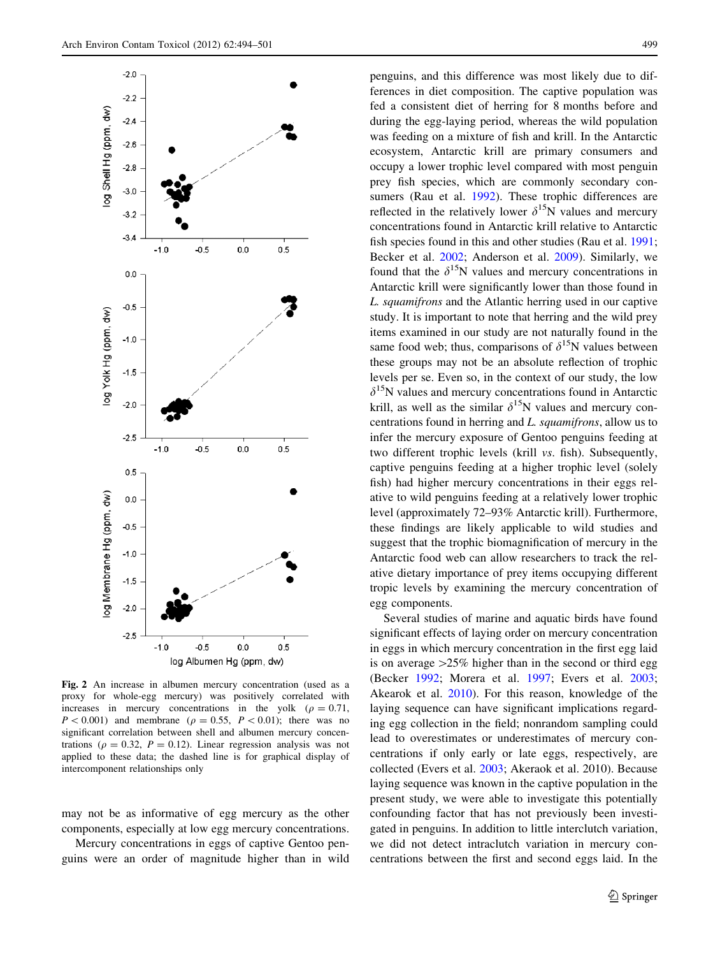<span id="page-5-0"></span>

Fig. 2 An increase in albumen mercury concentration (used as a proxy for whole-egg mercury) was positively correlated with increases in mercury concentrations in the yolk ( $\rho = 0.71$ ,  $P < 0.001$ ) and membrane ( $\rho = 0.55$ ,  $P < 0.01$ ); there was no significant correlation between shell and albumen mercury concentrations ( $\rho = 0.32$ ,  $P = 0.12$ ). Linear regression analysis was not applied to these data; the dashed line is for graphical display of intercomponent relationships only

may not be as informative of egg mercury as the other components, especially at low egg mercury concentrations.

Mercury concentrations in eggs of captive Gentoo penguins were an order of magnitude higher than in wild penguins, and this difference was most likely due to differences in diet composition. The captive population was fed a consistent diet of herring for 8 months before and during the egg-laying period, whereas the wild population was feeding on a mixture of fish and krill. In the Antarctic ecosystem, Antarctic krill are primary consumers and occupy a lower trophic level compared with most penguin prey fish species, which are commonly secondary con-sumers (Rau et al. [1992](#page-7-0)). These trophic differences are reflected in the relatively lower  $\delta^{15}N$  values and mercury concentrations found in Antarctic krill relative to Antarctic fish species found in this and other studies (Rau et al. [1991](#page-7-0); Becker et al. [2002;](#page-6-0) Anderson et al. [2009\)](#page-6-0). Similarly, we found that the  $\delta^{15}N$  values and mercury concentrations in Antarctic krill were significantly lower than those found in L. squamifrons and the Atlantic herring used in our captive study. It is important to note that herring and the wild prey items examined in our study are not naturally found in the same food web; thus, comparisons of  $\delta^{15}N$  values between these groups may not be an absolute reflection of trophic levels per se. Even so, in the context of our study, the low  $\delta^{15}$ N values and mercury concentrations found in Antarctic krill, as well as the similar  $\delta^{15}N$  values and mercury concentrations found in herring and L. squamifrons, allow us to infer the mercury exposure of Gentoo penguins feeding at two different trophic levels (krill vs. fish). Subsequently, captive penguins feeding at a higher trophic level (solely fish) had higher mercury concentrations in their eggs relative to wild penguins feeding at a relatively lower trophic level (approximately 72–93% Antarctic krill). Furthermore, these findings are likely applicable to wild studies and suggest that the trophic biomagnification of mercury in the Antarctic food web can allow researchers to track the relative dietary importance of prey items occupying different tropic levels by examining the mercury concentration of egg components.

Several studies of marine and aquatic birds have found significant effects of laying order on mercury concentration in eggs in which mercury concentration in the first egg laid is on average  $>25\%$  higher than in the second or third egg (Becker [1992;](#page-6-0) Morera et al. [1997;](#page-7-0) Evers et al. [2003](#page-7-0); Akearok et al. [2010\)](#page-6-0). For this reason, knowledge of the laying sequence can have significant implications regarding egg collection in the field; nonrandom sampling could lead to overestimates or underestimates of mercury concentrations if only early or late eggs, respectively, are collected (Evers et al. [2003;](#page-7-0) Akeraok et al. 2010). Because laying sequence was known in the captive population in the present study, we were able to investigate this potentially confounding factor that has not previously been investigated in penguins. In addition to little interclutch variation, we did not detect intraclutch variation in mercury concentrations between the first and second eggs laid. In the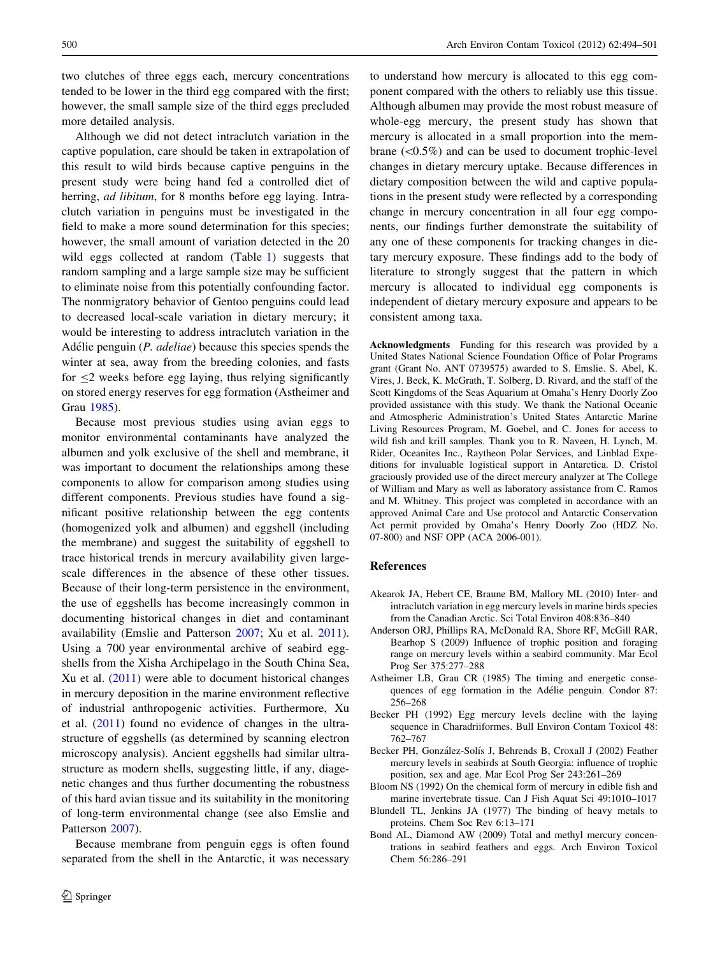<span id="page-6-0"></span>two clutches of three eggs each, mercury concentrations tended to be lower in the third egg compared with the first; however, the small sample size of the third eggs precluded more detailed analysis.

Although we did not detect intraclutch variation in the captive population, care should be taken in extrapolation of this result to wild birds because captive penguins in the present study were being hand fed a controlled diet of herring, *ad libitum*, for 8 months before egg laying. Intraclutch variation in penguins must be investigated in the field to make a more sound determination for this species; however, the small amount of variation detected in the 20 wild eggs collected at random (Table [1](#page-4-0)) suggests that random sampling and a large sample size may be sufficient to eliminate noise from this potentially confounding factor. The nonmigratory behavior of Gentoo penguins could lead to decreased local-scale variation in dietary mercury; it would be interesting to address intraclutch variation in the Adélie penguin  $(P. \text{ *addliae*})$  because this species spends the winter at sea, away from the breeding colonies, and fasts for  $\leq$  weeks before egg laying, thus relying significantly on stored energy reserves for egg formation (Astheimer and Grau 1985).

Because most previous studies using avian eggs to monitor environmental contaminants have analyzed the albumen and yolk exclusive of the shell and membrane, it was important to document the relationships among these components to allow for comparison among studies using different components. Previous studies have found a significant positive relationship between the egg contents (homogenized yolk and albumen) and eggshell (including the membrane) and suggest the suitability of eggshell to trace historical trends in mercury availability given largescale differences in the absence of these other tissues. Because of their long-term persistence in the environment, the use of eggshells has become increasingly common in documenting historical changes in diet and contaminant availability (Emslie and Patterson [2007](#page-7-0); Xu et al. [2011](#page-7-0)). Using a 700 year environmental archive of seabird eggshells from the Xisha Archipelago in the South China Sea, Xu et al. [\(2011](#page-7-0)) were able to document historical changes in mercury deposition in the marine environment reflective of industrial anthropogenic activities. Furthermore, Xu et al. [\(2011](#page-7-0)) found no evidence of changes in the ultrastructure of eggshells (as determined by scanning electron microscopy analysis). Ancient eggshells had similar ultrastructure as modern shells, suggesting little, if any, diagenetic changes and thus further documenting the robustness of this hard avian tissue and its suitability in the monitoring of long-term environmental change (see also Emslie and Patterson [2007\)](#page-7-0).

Because membrane from penguin eggs is often found separated from the shell in the Antarctic, it was necessary

to understand how mercury is allocated to this egg component compared with the others to reliably use this tissue. Although albumen may provide the most robust measure of whole-egg mercury, the present study has shown that mercury is allocated in a small proportion into the membrane  $(<0.5\%)$  and can be used to document trophic-level changes in dietary mercury uptake. Because differences in dietary composition between the wild and captive populations in the present study were reflected by a corresponding change in mercury concentration in all four egg components, our findings further demonstrate the suitability of any one of these components for tracking changes in dietary mercury exposure. These findings add to the body of literature to strongly suggest that the pattern in which mercury is allocated to individual egg components is independent of dietary mercury exposure and appears to be consistent among taxa.

Acknowledgments Funding for this research was provided by a United States National Science Foundation Office of Polar Programs grant (Grant No. ANT 0739575) awarded to S. Emslie. S. Abel, K. Vires, J. Beck, K. McGrath, T. Solberg, D. Rivard, and the staff of the Scott Kingdoms of the Seas Aquarium at Omaha's Henry Doorly Zoo provided assistance with this study. We thank the National Oceanic and Atmospheric Administration's United States Antarctic Marine Living Resources Program, M. Goebel, and C. Jones for access to wild fish and krill samples. Thank you to R. Naveen, H. Lynch, M. Rider, Oceanites Inc., Raytheon Polar Services, and Linblad Expeditions for invaluable logistical support in Antarctica. D. Cristol graciously provided use of the direct mercury analyzer at The College of William and Mary as well as laboratory assistance from C. Ramos and M. Whitney. This project was completed in accordance with an approved Animal Care and Use protocol and Antarctic Conservation Act permit provided by Omaha's Henry Doorly Zoo (HDZ No. 07-800) and NSF OPP (ACA 2006-001).

## References

- Akearok JA, Hebert CE, Braune BM, Mallory ML (2010) Inter- and intraclutch variation in egg mercury levels in marine birds species from the Canadian Arctic. Sci Total Environ 408:836–840
- Anderson ORJ, Phillips RA, McDonald RA, Shore RF, McGill RAR, Bearhop S (2009) Influence of trophic position and foraging range on mercury levels within a seabird community. Mar Ecol Prog Ser 375:277–288
- Astheimer LB, Grau CR (1985) The timing and energetic consequences of egg formation in the Adélie penguin. Condor 87: 256–268
- Becker PH (1992) Egg mercury levels decline with the laying sequence in Charadriiformes. Bull Environ Contam Toxicol 48: 762–767
- Becker PH, González-Solís J, Behrends B, Croxall J (2002) Feather mercury levels in seabirds at South Georgia: influence of trophic position, sex and age. Mar Ecol Prog Ser 243:261–269
- Bloom NS (1992) On the chemical form of mercury in edible fish and marine invertebrate tissue. Can J Fish Aquat Sci 49:1010–1017
- Blundell TL, Jenkins JA (1977) The binding of heavy metals to proteins. Chem Soc Rev 6:13–171
- Bond AL, Diamond AW (2009) Total and methyl mercury concentrations in seabird feathers and eggs. Arch Environ Toxicol Chem 56:286–291